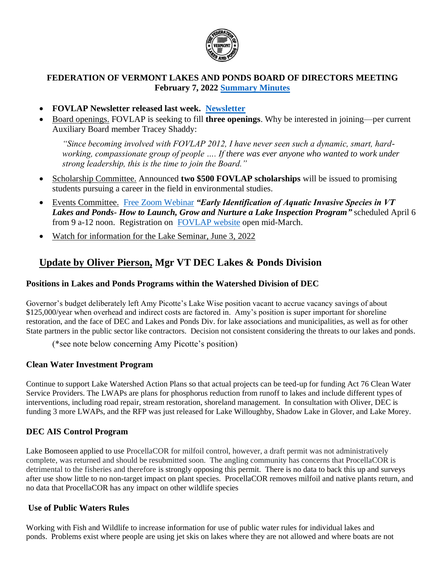

## **FEDERATION OF VERMONT LAKES AND PONDS BOARD OF DIRECTORS MEETING February 7, 2022 [Summary Minutes](http://vermontlakes.org/about-us/board-of-directors/board-meeting-summaries/)**

- **FOVLAP Newsletter released last week. [Newsletter](http://vermontlakes.org/news-events__trashed/newsletter/)**
- Board openings. FOVLAP is seeking to fill **three openings**. Why be interested in joining—per current Auxiliary Board member Tracey Shaddy:

*"Since becoming involved with FOVLAP 2012, I have never seen such a dynamic, smart, hardworking, compassionate group of people …. If there was ever anyone who wanted to work under strong leadership, this is the time to join the Board."* 

- Scholarship Committee. Announced **two \$500 FOVLAP scholarships** will be issued to promising students pursuing a career in the field in environmental studies.
- Events Committee. [Free Zoom Webinar](http://vermontlakes.org/) *"Early Identification of Aquatic Invasive Species in VT Lakes and Ponds- How to Launch, Grow and Nurture a Lake Inspection Program"* scheduled April 6 from 9 a-12 noon. Registration on [FOVLAP website](http://vermontlakes.org/) open mid-March.
- Watch for information for the Lake Seminar, June 3, 2022

# **Update by Oliver Pierson, Mgr VT DEC Lakes & Ponds Division**

#### **Positions in Lakes and Ponds Programs within the Watershed Division of DEC**

Governor's budget deliberately left Amy Picotte's Lake Wise position vacant to accrue vacancy savings of about \$125,000/year when overhead and indirect costs are factored in. Amy's position is super important for shoreline restoration, and the face of DEC and Lakes and Ponds Div. for lake associations and municipalities, as well as for other State partners in the public sector like contractors. Decision not consistent considering the threats to our lakes and ponds.

(\*see note below concerning Amy Picotte's position)

#### **Clean Water Investment Program**

Continue to support Lake Watershed Action Plans so that actual projects can be teed-up for funding Act 76 Clean Water Service Providers. The LWAPs are plans for phosphorus reduction from runoff to lakes and include different types of interventions, including road repair, stream restoration, shoreland management. In consultation with Oliver, DEC is funding 3 more LWAPs, and the RFP was just released for Lake Willoughby, Shadow Lake in Glover, and Lake Morey.

## **DEC AIS Control Program**

Lake Bomoseen applied to use ProcellaCOR for milfoil control, however, a draft permit was not administratively complete, was returned and should be resubmitted soon. The angling community has concerns that ProcellaCOR is detrimental to the fisheries and therefore is strongly opposing this permit. There is no data to back this up and surveys after use show little to no non-target impact on plant species. ProcellaCOR removes milfoil and native plants return, and no data that ProcellaCOR has any impact on other wildlife species

#### **Use of Public Waters Rules**

Working with Fish and Wildlife to increase information for use of public water rules for individual lakes and ponds. Problems exist where people are using jet skis on lakes where they are not allowed and where boats are not